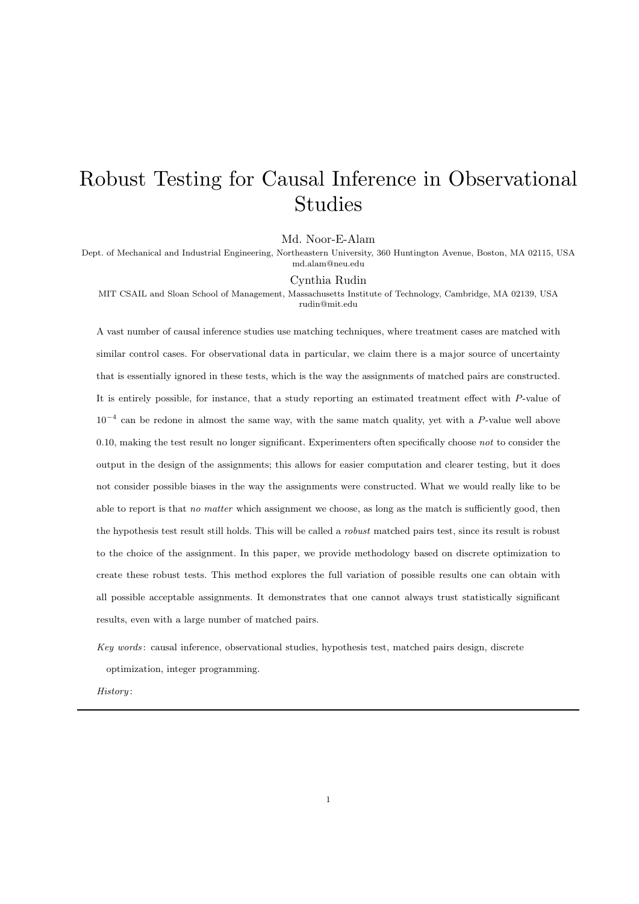# Robust Testing for Causal Inference in Observational Studies

Md. Noor-E-Alam

Dept. of Mechanical and Industrial Engineering, Northeastern University, 360 Huntington Avenue, Boston, MA 02115, USA md.alam@neu.edu

#### Cynthia Rudin

MIT CSAIL and Sloan School of Management, Massachusetts Institute of Technology, Cambridge, MA 02139, USA rudin@mit.edu

A vast number of causal inference studies use matching techniques, where treatment cases are matched with similar control cases. For observational data in particular, we claim there is a major source of uncertainty that is essentially ignored in these tests, which is the way the assignments of matched pairs are constructed. It is entirely possible, for instance, that a study reporting an estimated treatment effect with P-value of  $10^{-4}$  can be redone in almost the same way, with the same match quality, yet with a P-value well above 0.10, making the test result no longer significant. Experimenters often specifically choose not to consider the output in the design of the assignments; this allows for easier computation and clearer testing, but it does not consider possible biases in the way the assignments were constructed. What we would really like to be able to report is that no matter which assignment we choose, as long as the match is sufficiently good, then the hypothesis test result still holds. This will be called a robust matched pairs test, since its result is robust to the choice of the assignment. In this paper, we provide methodology based on discrete optimization to create these robust tests. This method explores the full variation of possible results one can obtain with all possible acceptable assignments. It demonstrates that one cannot always trust statistically significant results, even with a large number of matched pairs.

Key words : causal inference, observational studies, hypothesis test, matched pairs design, discrete optimization, integer programming.

History :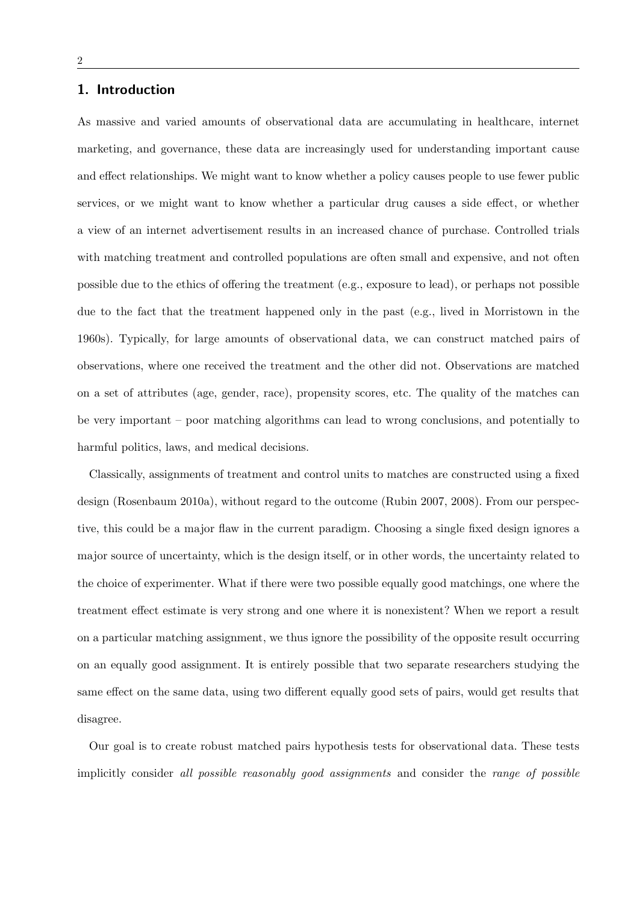### 1. Introduction

As massive and varied amounts of observational data are accumulating in healthcare, internet marketing, and governance, these data are increasingly used for understanding important cause and effect relationships. We might want to know whether a policy causes people to use fewer public services, or we might want to know whether a particular drug causes a side effect, or whether a view of an internet advertisement results in an increased chance of purchase. Controlled trials with matching treatment and controlled populations are often small and expensive, and not often possible due to the ethics of offering the treatment (e.g., exposure to lead), or perhaps not possible due to the fact that the treatment happened only in the past (e.g., lived in Morristown in the 1960s). Typically, for large amounts of observational data, we can construct matched pairs of observations, where one received the treatment and the other did not. Observations are matched on a set of attributes (age, gender, race), propensity scores, etc. The quality of the matches can be very important – poor matching algorithms can lead to wrong conclusions, and potentially to harmful politics, laws, and medical decisions.

Classically, assignments of treatment and control units to matches are constructed using a fixed design (Rosenbaum 2010a), without regard to the outcome (Rubin 2007, 2008). From our perspective, this could be a major flaw in the current paradigm. Choosing a single fixed design ignores a major source of uncertainty, which is the design itself, or in other words, the uncertainty related to the choice of experimenter. What if there were two possible equally good matchings, one where the treatment effect estimate is very strong and one where it is nonexistent? When we report a result on a particular matching assignment, we thus ignore the possibility of the opposite result occurring on an equally good assignment. It is entirely possible that two separate researchers studying the same effect on the same data, using two different equally good sets of pairs, would get results that disagree.

Our goal is to create robust matched pairs hypothesis tests for observational data. These tests implicitly consider all possible reasonably good assignments and consider the range of possible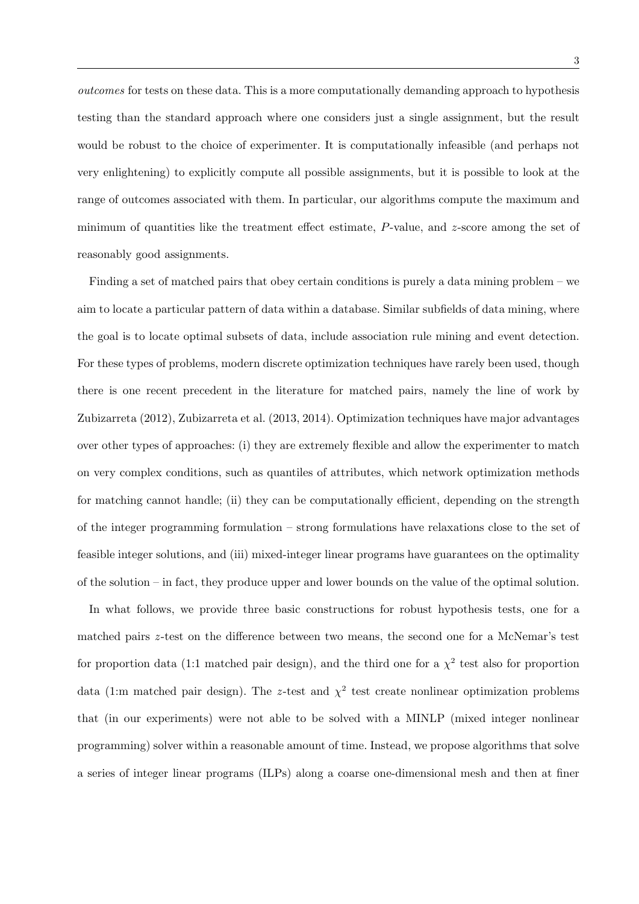outcomes for tests on these data. This is a more computationally demanding approach to hypothesis testing than the standard approach where one considers just a single assignment, but the result would be robust to the choice of experimenter. It is computationally infeasible (and perhaps not very enlightening) to explicitly compute all possible assignments, but it is possible to look at the range of outcomes associated with them. In particular, our algorithms compute the maximum and minimum of quantities like the treatment effect estimate,  $P$ -value, and  $z$ -score among the set of reasonably good assignments.

Finding a set of matched pairs that obey certain conditions is purely a data mining problem – we aim to locate a particular pattern of data within a database. Similar subfields of data mining, where the goal is to locate optimal subsets of data, include association rule mining and event detection. For these types of problems, modern discrete optimization techniques have rarely been used, though there is one recent precedent in the literature for matched pairs, namely the line of work by Zubizarreta (2012), Zubizarreta et al. (2013, 2014). Optimization techniques have major advantages over other types of approaches: (i) they are extremely flexible and allow the experimenter to match on very complex conditions, such as quantiles of attributes, which network optimization methods for matching cannot handle; (ii) they can be computationally efficient, depending on the strength of the integer programming formulation – strong formulations have relaxations close to the set of feasible integer solutions, and (iii) mixed-integer linear programs have guarantees on the optimality of the solution – in fact, they produce upper and lower bounds on the value of the optimal solution.

In what follows, we provide three basic constructions for robust hypothesis tests, one for a matched pairs z-test on the difference between two means, the second one for a McNemar's test for proportion data (1:1 matched pair design), and the third one for a  $\chi^2$  test also for proportion data (1:m matched pair design). The z-test and  $\chi^2$  test create nonlinear optimization problems that (in our experiments) were not able to be solved with a MINLP (mixed integer nonlinear programming) solver within a reasonable amount of time. Instead, we propose algorithms that solve a series of integer linear programs (ILPs) along a coarse one-dimensional mesh and then at finer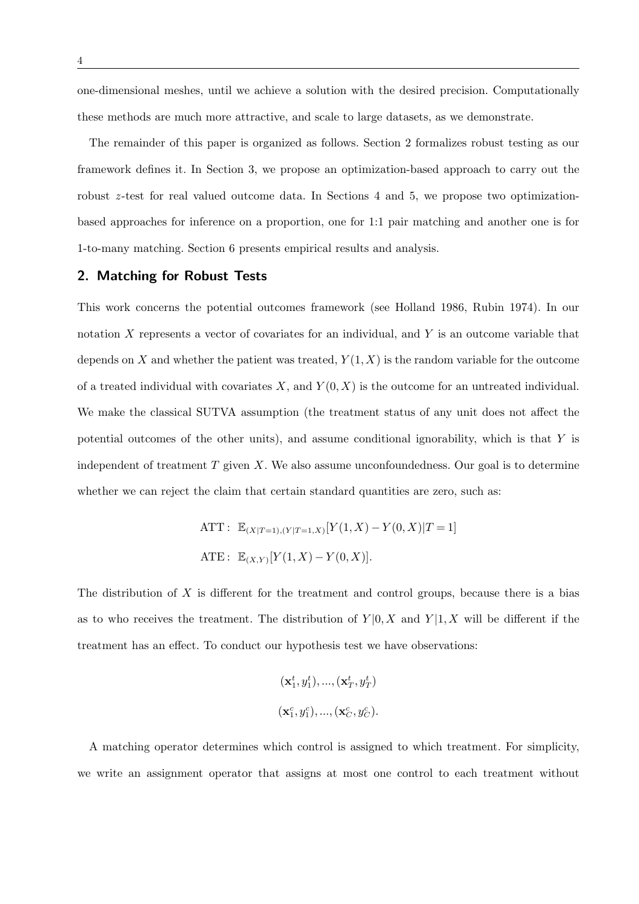one-dimensional meshes, until we achieve a solution with the desired precision. Computationally these methods are much more attractive, and scale to large datasets, as we demonstrate.

The remainder of this paper is organized as follows. Section 2 formalizes robust testing as our framework defines it. In Section 3, we propose an optimization-based approach to carry out the robust z -test for real valued outcome data. In Sections 4 and 5, we propose two optimizationbased approaches for inference on a proportion, one for 1:1 pair matching and another one is for 1-to-many matching. Section 6 presents empirical results and analysis.

## 2. Matching for Robust Tests

This work concerns the potential outcomes framework (see Holland 1986, Rubin 1974). In our notation  $X$  represents a vector of covariates for an individual, and  $Y$  is an outcome variable that depends on X and whether the patient was treated,  $Y(1, X)$  is the random variable for the outcome of a treated individual with covariates  $X$ , and  $Y(0, X)$  is the outcome for an untreated individual. We make the classical SUTVA assumption (the treatment status of any unit does not affect the potential outcomes of the other units), and assume conditional ignorability, which is that Y is independent of treatment  $T$  given  $X$ . We also assume unconfoundedness. Our goal is to determine whether we can reject the claim that certain standard quantities are zero, such as:

ATT: 
$$
\mathbb{E}_{(X|T=1),(Y|T=1,X)}[Y(1,X) - Y(0,X)|T=1]
$$
  
ATE:  $\mathbb{E}_{(X,Y)}[Y(1,X) - Y(0,X)].$ 

The distribution of  $X$  is different for the treatment and control groups, because there is a bias as to who receives the treatment. The distribution of  $Y|0, X$  and  $Y|1, X$  will be different if the treatment has an effect. To conduct our hypothesis test we have observations:

$$
(\mathbf{x}_1^t, y_1^t), ..., (\mathbf{x}_T^t, y_T^t)
$$
  

$$
(\mathbf{x}_1^c, y_1^c), ..., (\mathbf{x}_C^c, y_C^c).
$$

A matching operator determines which control is assigned to which treatment. For simplicity, we write an assignment operator that assigns at most one control to each treatment without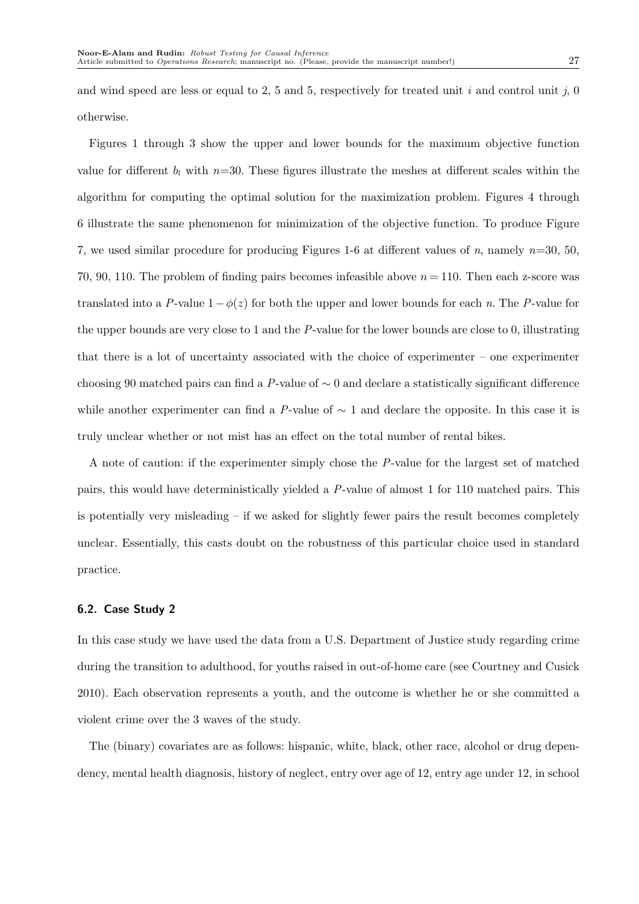and wind speed are less or equal to 2, 5 and 5, respectively for treated unit  $i$  and control unit  $i$ , 0 otherwise.

Figures 1 through 3 show the upper and lower bounds for the maximum objective function value for different  $b_l$  with  $n=30$ . These figures illustrate the meshes at different scales within the algorithm for computing the optimal solution for the maximization problem. Figures 4 through 6 illustrate the same phenomenon for minimization of the objective function. To produce Figure 7, we used similar procedure for producing Figures 1-6 at different values of n, namely  $n=30, 50$ , 70, 90, 110. The problem of finding pairs becomes infeasible above  $n = 110$ . Then each z-score was translated into a P-value  $1-\phi(z)$  for both the upper and lower bounds for each n. The P-value for the upper bounds are very close to 1 and the P-value for the lower bounds are close to 0, illustrating that there is a lot of uncertainty associated with the choice of experimenter – one experimenter choosing 90 matched pairs can find a P-value of  $\sim$  0 and declare a statistically significant difference while another experimenter can find a P-value of  $\sim 1$  and declare the opposite. In this case it is truly unclear whether or not mist has an effect on the total number of rental bikes.

A note of caution: if the experimenter simply chose the P-value for the largest set of matched pairs, this would have deterministically yielded a P-value of almost 1 for 110 matched pairs. This is potentially very misleading  $-$  if we asked for slightly fewer pairs the result becomes completely unclear. Essentially, this casts doubt on the robustness of this particular choice used in standard practice.

#### 6.2. Case Study 2

In this case study we have used the data from a U.S. Department of Justice study regarding crime during the transition to adulthood, for youths raised in out-of-home care (see Courtney and Cusick 2010). Each observation represents a youth, and the outcome is whether he or she committed a violent crime over the 3 waves of the study.

The (binary) covariates are as follows: hispanic, white, black, other race, alcohol or drug dependency, mental health diagnosis, history of neglect, entry over age of 12, entry age under 12, in school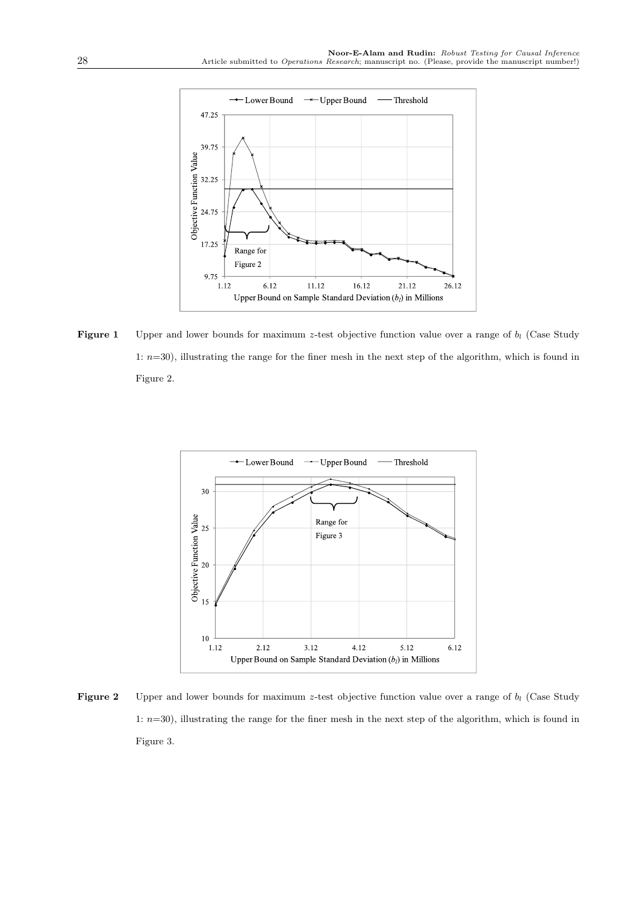

Figure 1 Upper and lower bounds for maximum z-test objective function value over a range of  $b_l$  (Case Study 1: n=30), illustrating the range for the finer mesh in the next step of the algorithm, which is found in Figure 2.



Figure 2 Upper and lower bounds for maximum z-test objective function value over a range of  $b_l$  (Case Study 1:  $n=30$ ), illustrating the range for the finer mesh in the next step of the algorithm, which is found in Figure 3.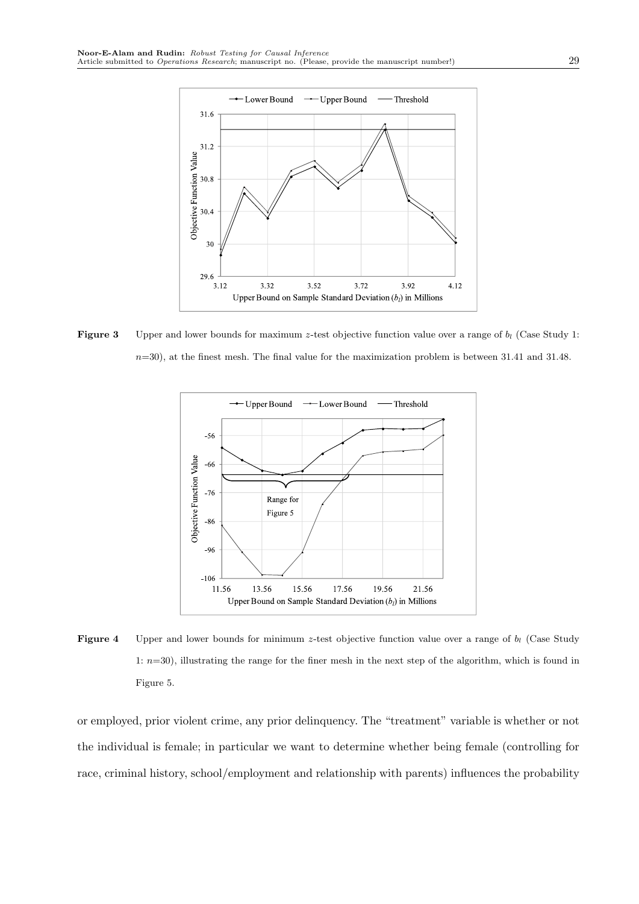

**Figure 3** Upper and lower bounds for maximum z-test objective function value over a range of  $b_l$  (Case Study 1:  $n=30$ , at the finest mesh. The final value for the maximization problem is between 31.41 and 31.48.



**Figure 4** Upper and lower bounds for minimum z-test objective function value over a range of  $b_l$  (Case Study 1:  $n=30$ ), illustrating the range for the finer mesh in the next step of the algorithm, which is found in Figure 5.

or employed, prior violent crime, any prior delinquency. The "treatment" variable is whether or not the individual is female; in particular we want to determine whether being female (controlling for race, criminal history, school/employment and relationship with parents) influences the probability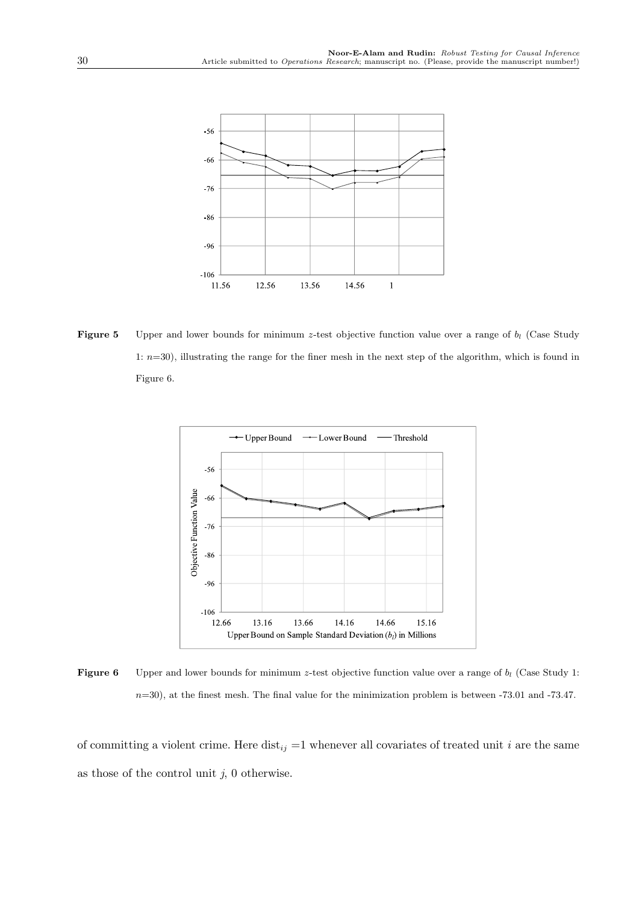**Figure 5** Upper and lower bounds for minimum z-test objective function value over a range of  $b_l$  (Case Study 1: n=30), illustrating the range for the finer mesh in the next step of the algorithm, which is found in Figure 6.



Figure 6 Upper and lower bounds for minimum z-test objective function value over a range of  $b_l$  (Case Study 1:  $n=30$ , at the finest mesh. The final value for the minimization problem is between -73.01 and -73.47.

of committing a violent crime. Here dist<sub>ij</sub> =1 whenever all covariates of treated unit i are the same as those of the control unit  $j$ , 0 otherwise.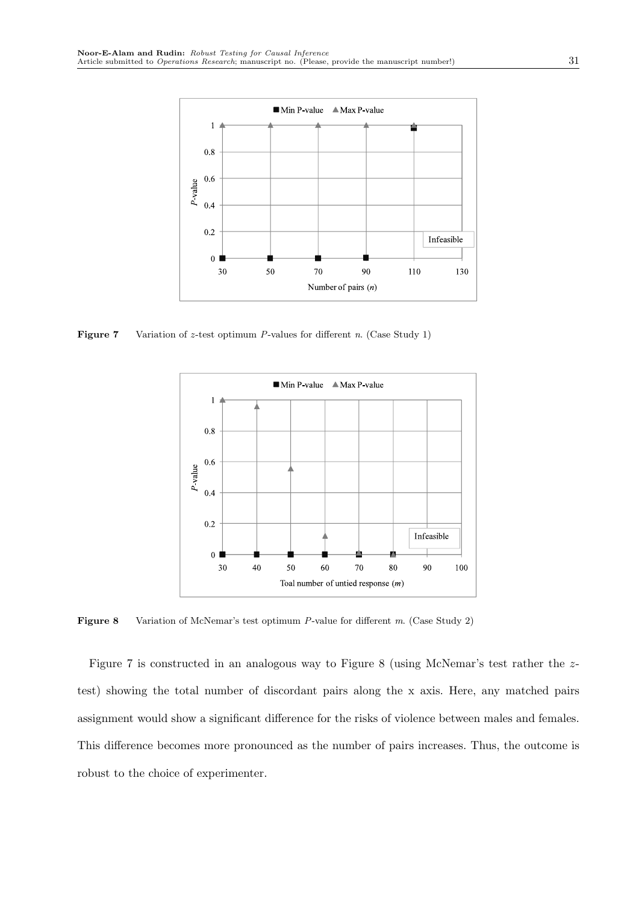

**Figure 7** Variation of z-test optimum P-values for different n. (Case Study 1)



Figure 8 Variation of McNemar's test optimum P-value for different m. (Case Study 2)

Figure 7 is constructed in an analogous way to Figure 8 (using McNemar's test rather the ztest) showing the total number of discordant pairs along the x axis. Here, any matched pairs assignment would show a significant difference for the risks of violence between males and females. This difference becomes more pronounced as the number of pairs increases. Thus, the outcome is robust to the choice of experimenter.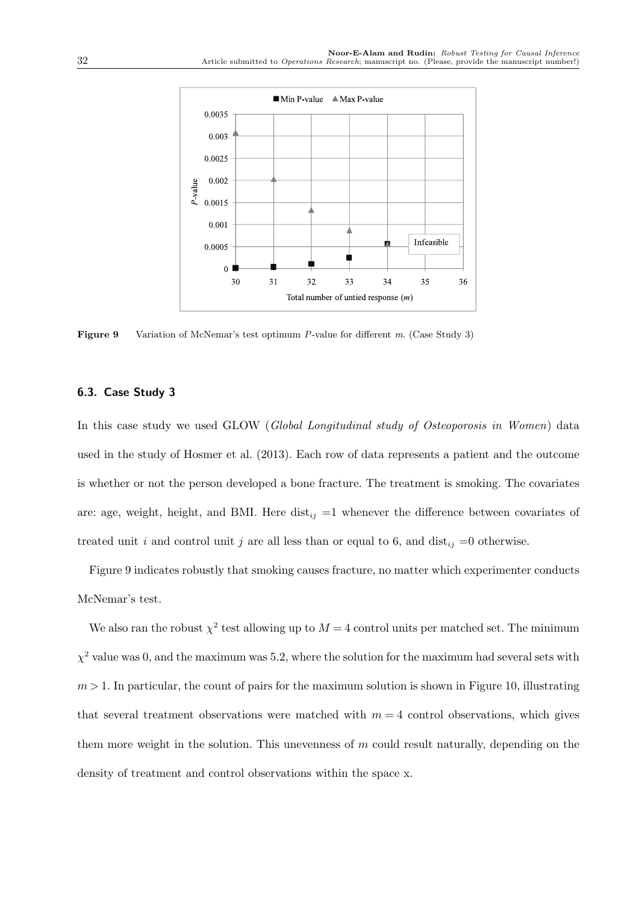

Figure 9 Variation of McNemar's test optimum P-value for different m. (Case Study 3)

#### 6.3. Case Study 3

In this case study we used GLOW (Global Longitudinal study of Osteoporosis in Women) data used in the study of Hosmer et al. (2013). Each row of data represents a patient and the outcome is whether or not the person developed a bone fracture. The treatment is smoking. The covariates are: age, weight, height, and BMI. Here dist<sub>ij</sub> =1 whenever the difference between covariates of treated unit i and control unit j are all less than or equal to 6, and dist<sub>ij</sub> =0 otherwise.

Figure 9 indicates robustly that smoking causes fracture, no matter which experimenter conducts McNemar's test.

We also ran the robust  $\chi^2$  test allowing up to  $M = 4$  control units per matched set. The minimum  $\chi^2$  value was 0, and the maximum was 5.2, where the solution for the maximum had several sets with  $m > 1$ . In particular, the count of pairs for the maximum solution is shown in Figure 10, illustrating that several treatment observations were matched with  $m = 4$  control observations, which gives them more weight in the solution. This unevenness of  $m$  could result naturally, depending on the density of treatment and control observations within the space x.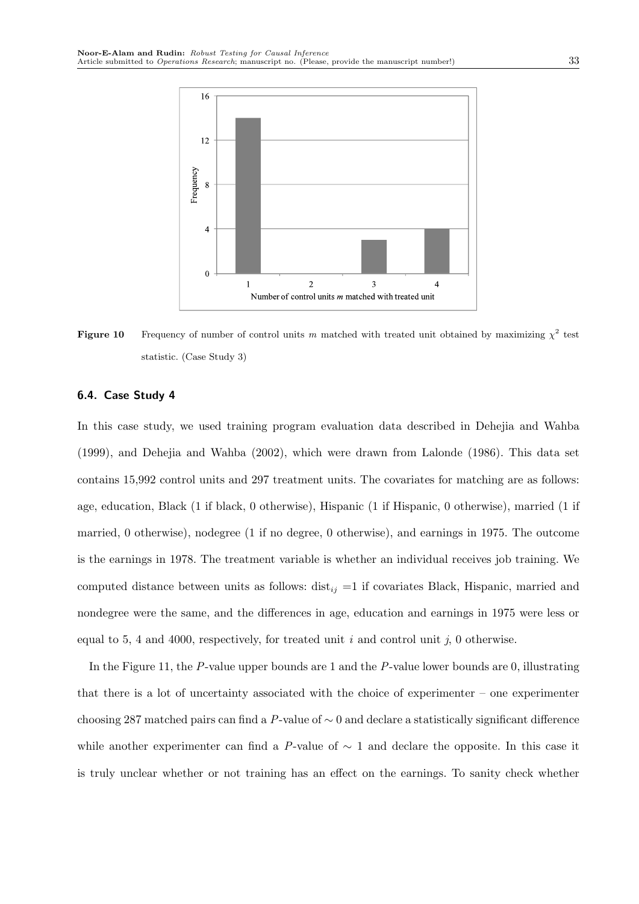

**Figure 10** Frequency of number of control units m matched with treated unit obtained by maximizing  $\chi^2$  test statistic. (Case Study 3)

#### 6.4. Case Study 4

In this case study, we used training program evaluation data described in Dehejia and Wahba (1999), and Dehejia and Wahba (2002), which were drawn from Lalonde (1986). This data set contains 15,992 control units and 297 treatment units. The covariates for matching are as follows: age, education, Black (1 if black, 0 otherwise), Hispanic (1 if Hispanic, 0 otherwise), married (1 if married, 0 otherwise), nodegree (1 if no degree, 0 otherwise), and earnings in 1975. The outcome is the earnings in 1978. The treatment variable is whether an individual receives job training. We computed distance between units as follows:  $dist_{ij} =1$  if covariates Black, Hispanic, married and nondegree were the same, and the differences in age, education and earnings in 1975 were less or equal to 5, 4 and 4000, respectively, for treated unit  $i$  and control unit  $j$ , 0 otherwise.

In the Figure 11, the P-value upper bounds are 1 and the P-value lower bounds are 0, illustrating that there is a lot of uncertainty associated with the choice of experimenter – one experimenter choosing 287 matched pairs can find a P-value of  $\sim$  0 and declare a statistically significant difference while another experimenter can find a P-value of  $\sim$  1 and declare the opposite. In this case it is truly unclear whether or not training has an effect on the earnings. To sanity check whether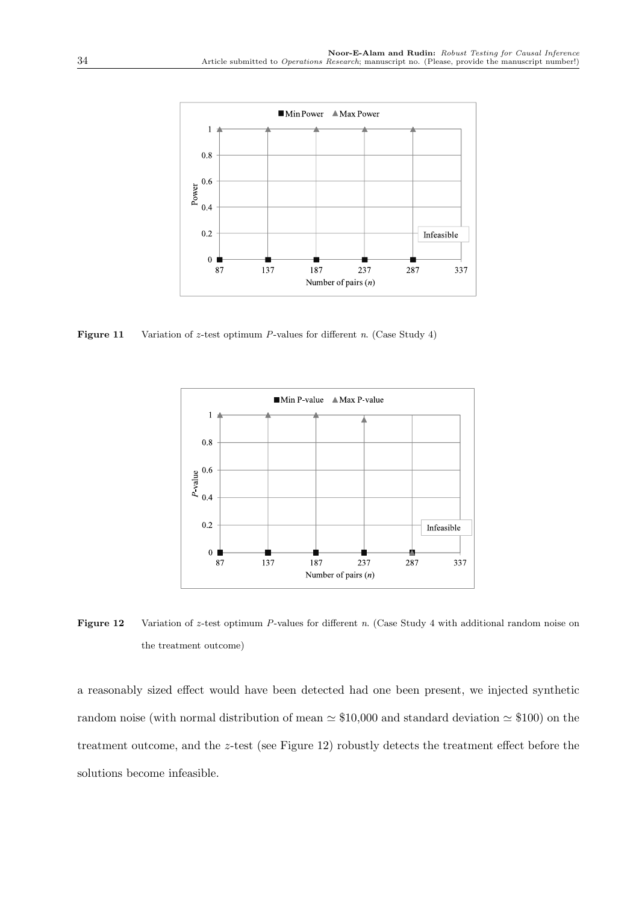

**Figure 11** Variation of z-test optimum P-values for different n. (Case Study 4)



Figure 12 Variation of z-test optimum P-values for different n. (Case Study 4 with additional random noise on the treatment outcome)

a reasonably sized effect would have been detected had one been present, we injected synthetic random noise (with normal distribution of mean  $\simeq $10,000$  and standard deviation  $\simeq $100$ ) on the treatment outcome, and the z-test (see Figure 12) robustly detects the treatment effect before the solutions become infeasible.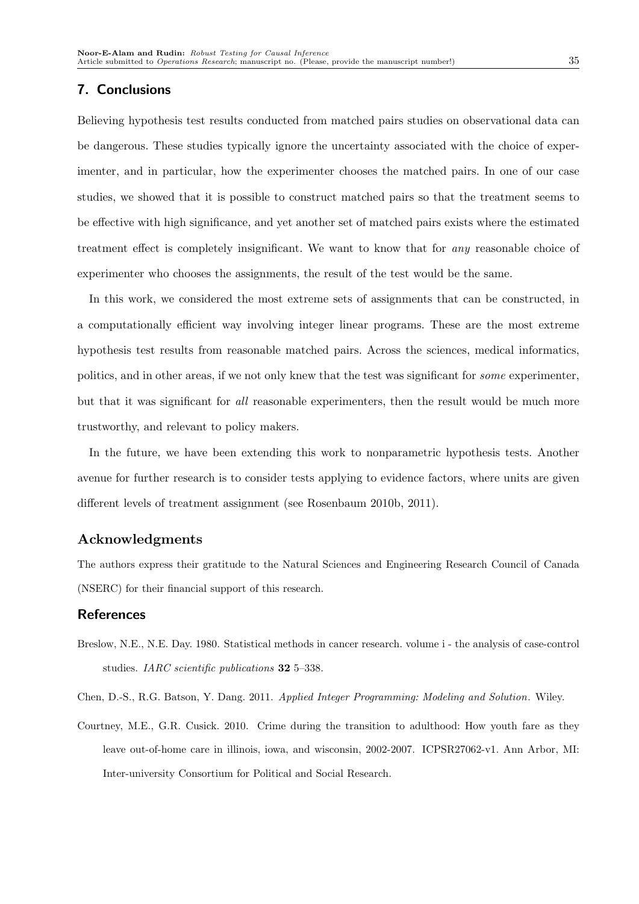### 7. Conclusions

Believing hypothesis test results conducted from matched pairs studies on observational data can be dangerous. These studies typically ignore the uncertainty associated with the choice of experimenter, and in particular, how the experimenter chooses the matched pairs. In one of our case studies, we showed that it is possible to construct matched pairs so that the treatment seems to be effective with high significance, and yet another set of matched pairs exists where the estimated treatment effect is completely insignificant. We want to know that for any reasonable choice of experimenter who chooses the assignments, the result of the test would be the same.

In this work, we considered the most extreme sets of assignments that can be constructed, in a computationally efficient way involving integer linear programs. These are the most extreme hypothesis test results from reasonable matched pairs. Across the sciences, medical informatics, politics, and in other areas, if we not only knew that the test was significant for some experimenter, but that it was significant for all reasonable experimenters, then the result would be much more trustworthy, and relevant to policy makers.

In the future, we have been extending this work to nonparametric hypothesis tests. Another avenue for further research is to consider tests applying to evidence factors, where units are given different levels of treatment assignment (see Rosenbaum 2010b, 2011).

## Acknowledgments

The authors express their gratitude to the Natural Sciences and Engineering Research Council of Canada (NSERC) for their financial support of this research.

## References

Breslow, N.E., N.E. Day. 1980. Statistical methods in cancer research. volume i - the analysis of case-control studies. IARC scientific publications **32** 5–338.

Chen, D.-S., R.G. Batson, Y. Dang. 2011. Applied Integer Programming: Modeling and Solution. Wiley.

Courtney, M.E., G.R. Cusick. 2010. Crime during the transition to adulthood: How youth fare as they leave out-of-home care in illinois, iowa, and wisconsin, 2002-2007. ICPSR27062-v1. Ann Arbor, MI: Inter-university Consortium for Political and Social Research.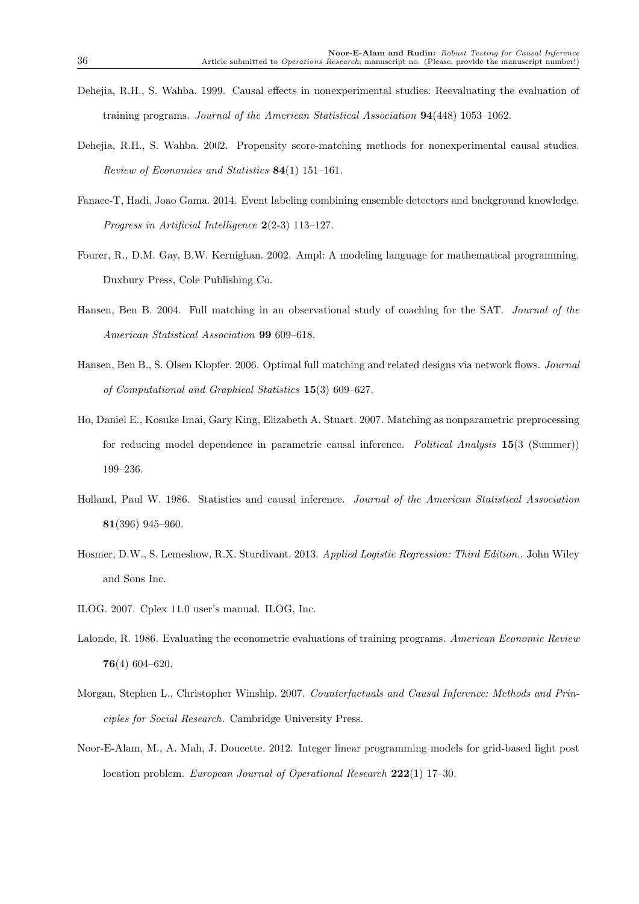- Dehejia, R.H., S. Wahba. 1999. Causal effects in nonexperimental studies: Reevaluating the evaluation of training programs. Journal of the American Statistical Association 94(448) 1053–1062.
- Dehejia, R.H., S. Wahba. 2002. Propensity score-matching methods for nonexperimental causal studies. Review of Economics and Statistics 84(1) 151–161.
- Fanaee-T, Hadi, Joao Gama. 2014. Event labeling combining ensemble detectors and background knowledge. Progress in Artificial Intelligence 2(2-3) 113–127.
- Fourer, R., D.M. Gay, B.W. Kernighan. 2002. Ampl: A modeling language for mathematical programming. Duxbury Press, Cole Publishing Co.
- Hansen, Ben B. 2004. Full matching in an observational study of coaching for the SAT. Journal of the American Statistical Association 99 609–618.
- Hansen, Ben B., S. Olsen Klopfer. 2006. Optimal full matching and related designs via network flows. Journal of Computational and Graphical Statistics 15(3) 609–627.
- Ho, Daniel E., Kosuke Imai, Gary King, Elizabeth A. Stuart. 2007. Matching as nonparametric preprocessing for reducing model dependence in parametric causal inference. Political Analysis 15(3 (Summer)) 199–236.
- Holland, Paul W. 1986. Statistics and causal inference. Journal of the American Statistical Association 81(396) 945–960.
- Hosmer, D.W., S. Lemeshow, R.X. Sturdivant. 2013. Applied Logistic Regression: Third Edition.. John Wiley and Sons Inc.
- ILOG. 2007. Cplex 11.0 user's manual. ILOG, Inc.
- Lalonde, R. 1986. Evaluating the econometric evaluations of training programs. American Economic Review 76(4) 604–620.
- Morgan, Stephen L., Christopher Winship. 2007. Counterfactuals and Causal Inference: Methods and Principles for Social Research. Cambridge University Press.
- Noor-E-Alam, M., A. Mah, J. Doucette. 2012. Integer linear programming models for grid-based light post location problem. European Journal of Operational Research 222(1) 17–30.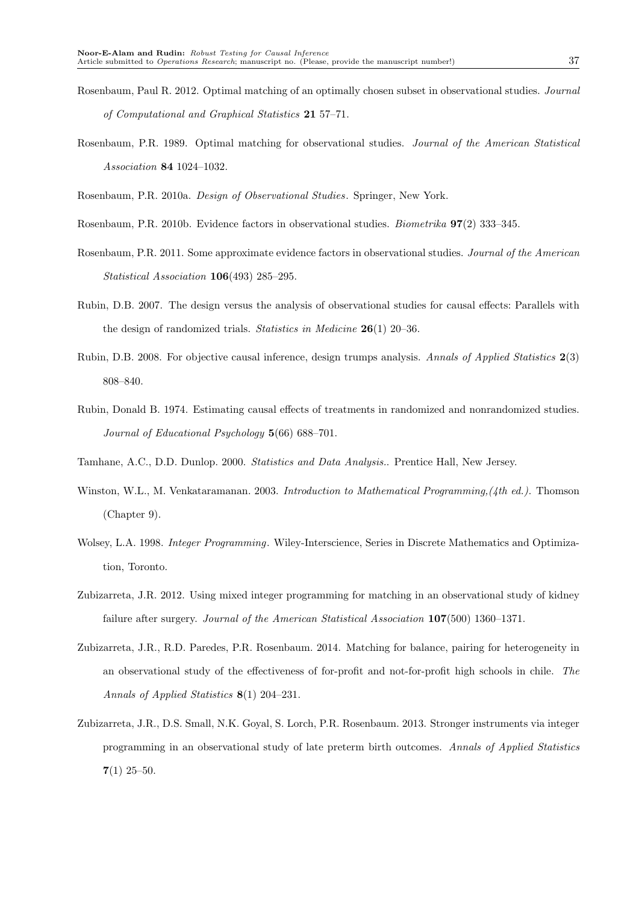Rosenbaum, P.R. 1989. Optimal matching for observational studies. Journal of the American Statistical Association 84 1024–1032.

Rosenbaum, P.R. 2010a. Design of Observational Studies. Springer, New York.

- Rosenbaum, P.R. 2010b. Evidence factors in observational studies. Biometrika 97(2) 333–345.
- Rosenbaum, P.R. 2011. Some approximate evidence factors in observational studies. Journal of the American Statistical Association 106(493) 285–295.
- Rubin, D.B. 2007. The design versus the analysis of observational studies for causal effects: Parallels with the design of randomized trials. Statistics in Medicine 26(1) 20–36.
- Rubin, D.B. 2008. For objective causal inference, design trumps analysis. Annals of Applied Statistics 2(3) 808–840.
- Rubin, Donald B. 1974. Estimating causal effects of treatments in randomized and nonrandomized studies. Journal of Educational Psychology 5(66) 688–701.
- Tamhane, A.C., D.D. Dunlop. 2000. Statistics and Data Analysis.. Prentice Hall, New Jersey.
- Winston, W.L., M. Venkataramanan. 2003. Introduction to Mathematical Programming, (4th ed.). Thomson (Chapter 9).
- Wolsey, L.A. 1998. *Integer Programming*. Wiley-Interscience, Series in Discrete Mathematics and Optimization, Toronto.
- Zubizarreta, J.R. 2012. Using mixed integer programming for matching in an observational study of kidney failure after surgery. Journal of the American Statistical Association 107(500) 1360–1371.
- Zubizarreta, J.R., R.D. Paredes, P.R. Rosenbaum. 2014. Matching for balance, pairing for heterogeneity in an observational study of the effectiveness of for-profit and not-for-profit high schools in chile. The Annals of Applied Statistics 8(1) 204–231.
- Zubizarreta, J.R., D.S. Small, N.K. Goyal, S. Lorch, P.R. Rosenbaum. 2013. Stronger instruments via integer programming in an observational study of late preterm birth outcomes. Annals of Applied Statistics  $7(1)$  25–50.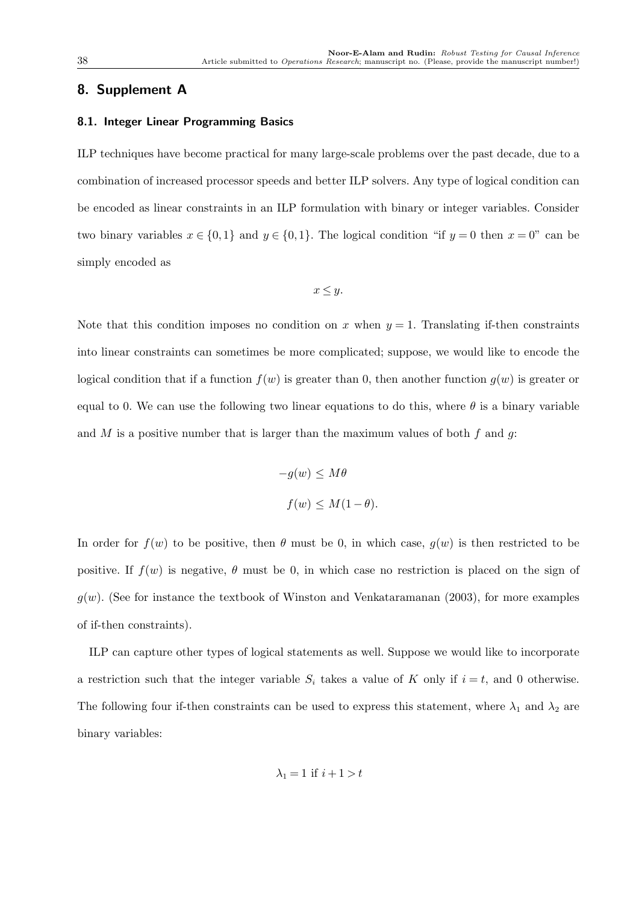## 8. Supplement A

### 8.1. Integer Linear Programming Basics

ILP techniques have become practical for many large-scale problems over the past decade, due to a combination of increased processor speeds and better ILP solvers. Any type of logical condition can be encoded as linear constraints in an ILP formulation with binary or integer variables. Consider two binary variables  $x \in \{0,1\}$  and  $y \in \{0,1\}$ . The logical condition "if  $y = 0$  then  $x = 0$ " can be simply encoded as

$$
x \le y.
$$

Note that this condition imposes no condition on x when  $y = 1$ . Translating if-then constraints into linear constraints can sometimes be more complicated; suppose, we would like to encode the logical condition that if a function  $f(w)$  is greater than 0, then another function  $g(w)$  is greater or equal to 0. We can use the following two linear equations to do this, where  $\theta$  is a binary variable and M is a positive number that is larger than the maximum values of both  $f$  and  $g$ :

$$
-g(w) \le M\theta
$$
  

$$
f(w) \le M(1-\theta).
$$

In order for  $f(w)$  to be positive, then  $\theta$  must be 0, in which case,  $g(w)$  is then restricted to be positive. If  $f(w)$  is negative,  $\theta$  must be 0, in which case no restriction is placed on the sign of  $g(w)$ . (See for instance the textbook of Winston and Venkataramanan (2003), for more examples of if-then constraints).

ILP can capture other types of logical statements as well. Suppose we would like to incorporate a restriction such that the integer variable  $S_i$  takes a value of K only if  $i = t$ , and 0 otherwise. The following four if-then constraints can be used to express this statement, where  $\lambda_1$  and  $\lambda_2$  are binary variables:

$$
\lambda_1 = 1 \text{ if } i+1 > t
$$